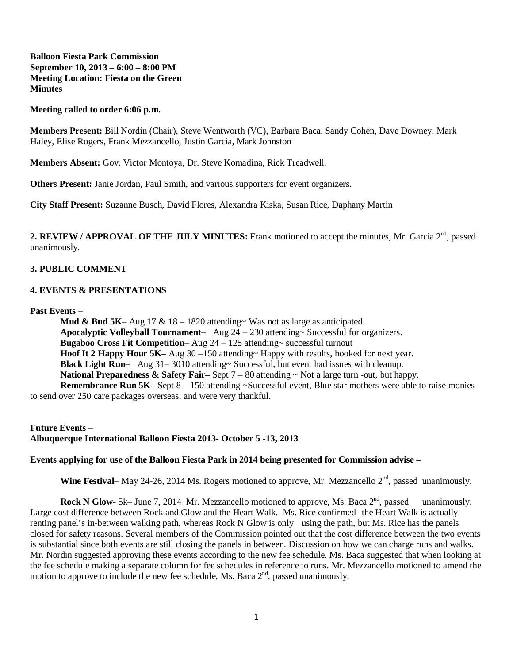# **Balloon Fiesta Park Commission September 10, 2013 – 6:00 – 8:00 PM Meeting Location: Fiesta on the Green Minutes**

#### **Meeting called to order 6:06 p.m.**

**Members Present:** Bill Nordin (Chair), Steve Wentworth (VC), Barbara Baca, Sandy Cohen, Dave Downey, Mark Haley, Elise Rogers, Frank Mezzancello, Justin Garcia, Mark Johnston

**Members Absent:** Gov. Victor Montoya, Dr. Steve Komadina, Rick Treadwell.

**Others Present:** Janie Jordan, Paul Smith, and various supporters for event organizers.

**City Staff Present:** Suzanne Busch, David Flores, Alexandra Kiska, Susan Rice, Daphany Martin

2. REVIEW / APPROVAL OF THE JULY MINUTES: Frank motioned to accept the minutes, Mr. Garcia 2<sup>nd</sup>, passed unanimously.

## **3. PUBLIC COMMENT**

### **4. EVENTS & PRESENTATIONS**

**Past Events –**

**Mud & Bud 5K**– Aug 17 & 18 – 1820 attending~ Was not as large as anticipated. **Apocalyptic Volleyball Tournament–** Aug 24 – 230 attending~ Successful for organizers. **Bugaboo Cross Fit Competition–** Aug 24 – 125 attending~ successful turnout **Hoof It 2 Happy Hour 5K–** Aug 30 –150 attending~ Happy with results, booked for next year. **Black Light Run–** Aug 31– 3010 attending~ Successful, but event had issues with cleanup. **National Preparedness & Safety Fair–** Sept 7 – 80 attending ~ Not a large turn -out, but happy. **Remembrance Run 5K–** Sept 8 – 150 attending ~Successful event, Blue star mothers were able to raise monies

to send over 250 care packages overseas, and were very thankful.

**Future Events – Albuquerque International Balloon Fiesta 2013- October 5 -13, 2013**

#### **Events applying for use of the Balloon Fiesta Park in 2014 being presented for Commission advise –**

**Wine Festival–** May 24-26, 2014 Ms. Rogers motioned to approve, Mr. Mezzancello 2<sup>nd</sup>, passed unanimously.

**Rock N Glow-** 5k– June 7, 2014 Mr. Mezzancello motioned to approve, Ms. Baca 2<sup>nd</sup>, passed unanimously. Large cost difference between Rock and Glow and the Heart Walk. Ms. Rice confirmed the Heart Walk is actually renting panel's in-between walking path, whereas Rock N Glow is only using the path, but Ms. Rice has the panels closed for safety reasons. Several members of the Commission pointed out that the cost difference between the two events is substantial since both events are still closing the panels in between. Discussion on how we can charge runs and walks. Mr. Nordin suggested approving these events according to the new fee schedule. Ms. Baca suggested that when looking at the fee schedule making a separate column for fee schedules in reference to runs. Mr. Mezzancello motioned to amend the motion to approve to include the new fee schedule, Ms. Baca  $2<sup>nd</sup>$ , passed unanimously.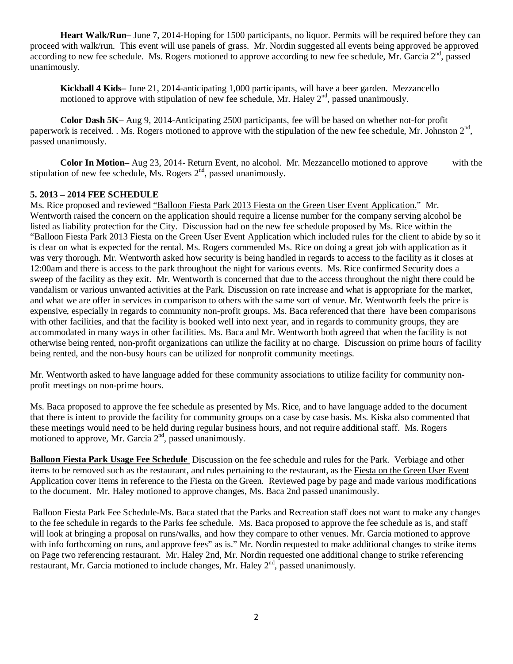**Heart Walk/Run–** June 7, 2014-Hoping for 1500 participants, no liquor. Permits will be required before they can proceed with walk/run. This event will use panels of grass. Mr. Nordin suggested all events being approved be approved according to new fee schedule. Ms. Rogers motioned to approve according to new fee schedule, Mr. Garcia  $2<sup>nd</sup>$ , passed unanimously.

**Kickball 4 Kids–** June 21, 2014-anticipating 1,000 participants, will have a beer garden. Mezzancello motioned to approve with stipulation of new fee schedule, Mr. Haley  $2<sup>nd</sup>$ , passed unanimously.

**Color Dash 5K–** Aug 9, 2014-Anticipating 2500 participants, fee will be based on whether not-for profit paperwork is received. . Ms. Rogers motioned to approve with the stipulation of the new fee schedule, Mr. Johnston  $2<sup>nd</sup>$ . passed unanimously.

**Color In Motion–** Aug 23, 2014- Return Event, no alcohol. Mr. Mezzancello motioned to approve with the stipulation of new fee schedule, Ms. Rogers  $2<sup>nd</sup>$ , passed unanimously.

# **5. 2013 – 2014 FEE SCHEDULE**

Ms. Rice proposed and reviewed "Balloon Fiesta Park 2013 Fiesta on the Green User Event Application." Mr. Wentworth raised the concern on the application should require a license number for the company serving alcohol be listed as liability protection for the City. Discussion had on the new fee schedule proposed by Ms. Rice within the "Balloon Fiesta Park 2013 Fiesta on the Green User Event Application which included rules for the client to abide by so it is clear on what is expected for the rental. Ms. Rogers commended Ms. Rice on doing a great job with application as it was very thorough. Mr. Wentworth asked how security is being handled in regards to access to the facility as it closes at 12:00am and there is access to the park throughout the night for various events. Ms. Rice confirmed Security does a sweep of the facility as they exit. Mr. Wentworth is concerned that due to the access throughout the night there could be vandalism or various unwanted activities at the Park. Discussion on rate increase and what is appropriate for the market, and what we are offer in services in comparison to others with the same sort of venue. Mr. Wentworth feels the price is expensive, especially in regards to community non-profit groups. Ms. Baca referenced that there have been comparisons with other facilities, and that the facility is booked well into next year, and in regards to community groups, they are accommodated in many ways in other facilities. Ms. Baca and Mr. Wentworth both agreed that when the facility is not otherwise being rented, non-profit organizations can utilize the facility at no charge. Discussion on prime hours of facility being rented, and the non-busy hours can be utilized for nonprofit community meetings.

Mr. Wentworth asked to have language added for these community associations to utilize facility for community nonprofit meetings on non-prime hours.

Ms. Baca proposed to approve the fee schedule as presented by Ms. Rice, and to have language added to the document that there is intent to provide the facility for community groups on a case by case basis. Ms. Kiska also commented that these meetings would need to be held during regular business hours, and not require additional staff. Ms. Rogers motioned to approve, Mr. Garcia  $2<sup>nd</sup>$ , passed unanimously.

**Balloon Fiesta Park Usage Fee Schedule** Discussion on the fee schedule and rules for the Park. Verbiage and other items to be removed such as the restaurant, and rules pertaining to the restaurant, as the Fiesta on the Green User Event Application cover items in reference to the Fiesta on the Green. Reviewed page by page and made various modifications to the document. Mr. Haley motioned to approve changes, Ms. Baca 2nd passed unanimously.

Balloon Fiesta Park Fee Schedule-Ms. Baca stated that the Parks and Recreation staff does not want to make any changes to the fee schedule in regards to the Parks fee schedule. Ms. Baca proposed to approve the fee schedule as is, and staff will look at bringing a proposal on runs/walks, and how they compare to other venues. Mr. Garcia motioned to approve with info forthcoming on runs, and approve fees" as is." Mr. Nordin requested to make additional changes to strike items on Page two referencing restaurant. Mr. Haley 2nd, Mr. Nordin requested one additional change to strike referencing restaurant, Mr. Garcia motioned to include changes, Mr. Haley 2<sup>nd</sup>, passed unanimously.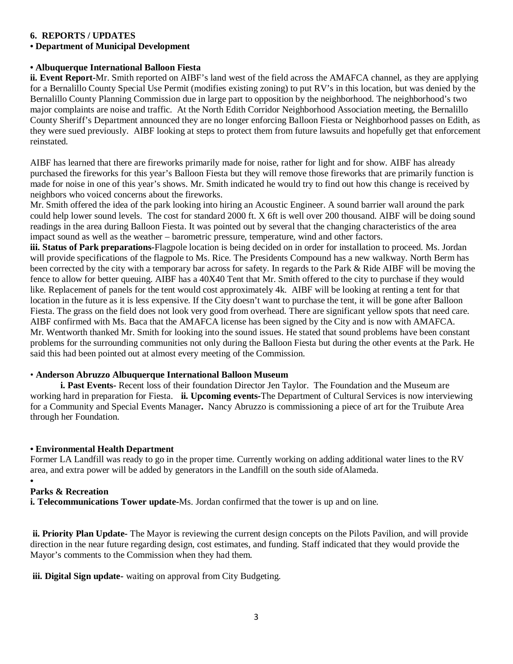# **6. REPORTS / UPDATES**

# **• Department of Municipal Development**

# **• Albuquerque International Balloon Fiesta**

**ii. Event Report-**Mr. Smith reported on AIBF's land west of the field across the AMAFCA channel, as they are applying for a Bernalillo County Special Use Permit (modifies existing zoning) to put RV's in this location, but was denied by the Bernalillo County Planning Commission due in large part to opposition by the neighborhood. The neighborhood's two major complaints are noise and traffic. At the North Edith Corridor Neighborhood Association meeting, the Bernalillo County Sheriff's Department announced they are no longer enforcing Balloon Fiesta or Neighborhood passes on Edith, as they were sued previously. AIBF looking at steps to protect them from future lawsuits and hopefully get that enforcement reinstated.

AIBF has learned that there are fireworks primarily made for noise, rather for light and for show. AIBF has already purchased the fireworks for this year's Balloon Fiesta but they will remove those fireworks that are primarily function is made for noise in one of this year's shows. Mr. Smith indicated he would try to find out how this change is received by neighbors who voiced concerns about the fireworks.

Mr. Smith offered the idea of the park looking into hiring an Acoustic Engineer. A sound barrier wall around the park could help lower sound levels. The cost for standard 2000 ft. X 6ft is well over 200 thousand. AIBF will be doing sound readings in the area during Balloon Fiesta. It was pointed out by several that the changing characteristics of the area impact sound as well as the weather – barometric pressure, temperature, wind and other factors.

**iii. Status of Park preparations-**Flagpole location is being decided on in order for installation to proceed. Ms. Jordan will provide specifications of the flagpole to Ms. Rice. The Presidents Compound has a new walkway. North Berm has been corrected by the city with a temporary bar across for safety. In regards to the Park & Ride AIBF will be moving the fence to allow for better queuing. AIBF has a 40X40 Tent that Mr. Smith offered to the city to purchase if they would like. Replacement of panels for the tent would cost approximately 4k. AIBF will be looking at renting a tent for that location in the future as it is less expensive. If the City doesn't want to purchase the tent, it will be gone after Balloon Fiesta. The grass on the field does not look very good from overhead. There are significant yellow spots that need care. AIBF confirmed with Ms. Baca that the AMAFCA license has been signed by the City and is now with AMAFCA. Mr. Wentworth thanked Mr. Smith for looking into the sound issues. He stated that sound problems have been constant problems for the surrounding communities not only during the Balloon Fiesta but during the other events at the Park. He said this had been pointed out at almost every meeting of the Commission.

# • **Anderson Abruzzo Albuquerque International Balloon Museum**

**i. Past Events-** Recent loss of their foundation Director Jen Taylor. The Foundation and the Museum are working hard in preparation for Fiesta. **ii. Upcoming events-**The Department of Cultural Services is now interviewing for a Community and Special Events Manager**.** Nancy Abruzzo is commissioning a piece of art for the Truibute Area through her Foundation.

# **• Environmental Health Department**

Former LA Landfill was ready to go in the proper time. Currently working on adding additional water lines to the RV area, and extra power will be added by generators in the Landfill on the south side ofAlameda.

#### **• Parks & Recreation**

**i. Telecommunications Tower update-**Ms. Jordan confirmed that the tower is up and on line.

**ii. Priority Plan Update-** The Mayor is reviewing the current design concepts on the Pilots Pavilion, and will provide direction in the near future regarding design, cost estimates, and funding. Staff indicated that they would provide the Mayor's comments to the Commission when they had them.

**iii. Digital Sign update-** waiting on approval from City Budgeting.